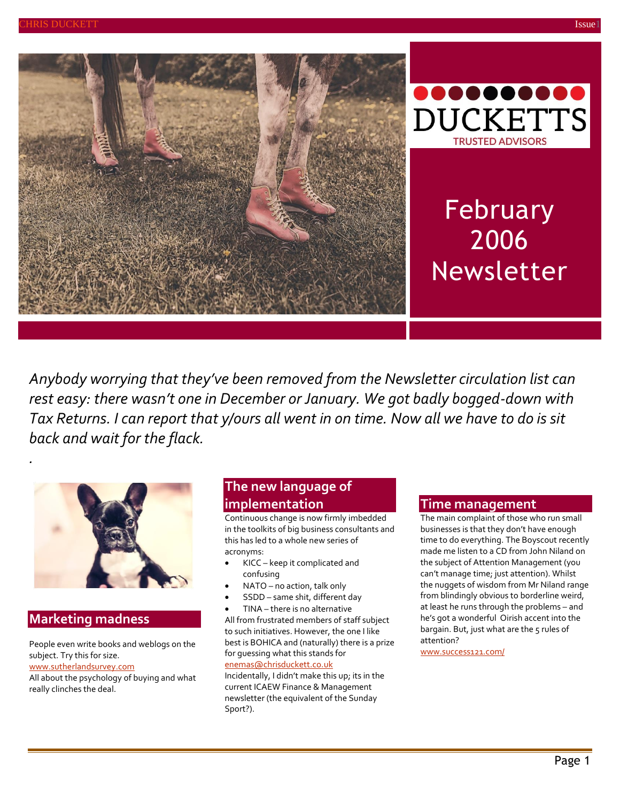



# February 2006 Newsletter

*Anybody worrying that they've been removed from the Newsletter circulation list can rest easy: there wasn't one in December or January. We got badly bogged-down with Tax Returns. I can report that y/ours all went in on time. Now all we have to do is sit back and wait for the flack.*



## **Marketing madness**

*.*

People even write books and weblogs on the subject. Try this for size.

#### [www.sutherlandsurvey.com](http://www.sutherlandsurvey.com/)

All about the psychology of buying and what really clinches the deal.

## **The new language of implementation**

Continuous change is now firmly imbedded in the toolkits of big business consultants and this has led to a whole new series of acronyms:

- KICC keep it complicated and confusing
- NATO no action, talk only
- SSDD same shit, different day
- TINA there is no alternative

All from frustrated members of staff subject to such initiatives. However, the one I like best is BOHICA and (naturally) there is a prize for guessing what this stands for [enemas@chrisduckett.co.uk](mailto:change@chrisduckett.co.uk)

Incidentally, I didn't make this up; its in the current ICAEW Finance & Management newsletter (the equivalent of the Sunday Sport?).

#### **Time management**

The main complaint of those who run small businesses is that they don't have enough time to do everything. The Boyscout recently made me listen to a CD from John Niland on the subject of Attention Management (you can't manage time; just attention). Whilst the nuggets of wisdom from Mr Niland range from blindingly obvious to borderline weird, at least he runs through the problems – and he's got a wonderful Oirish accent into the bargain. But, just what are the 5 rules of attention?

[www.success121.com/](http://www.success121.com/)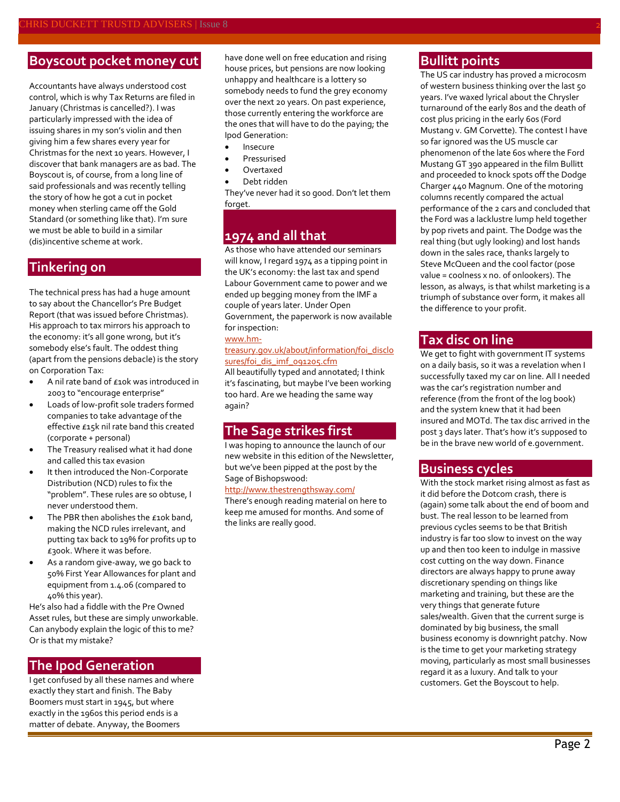## **Boyscout pocket money cut**

Accountants have always understood cost control, which is why Tax Returns are filed in January (Christmas is cancelled?). I was particularly impressed with the idea of issuing shares in my son's violin and then giving him a few shares every year for Christmas for the next 10 years. However, I discover that bank managers are as bad. The Boyscout is, of course, from a long line of said professionals and was recently telling the story of how he got a cut in pocket money when sterling came off the Gold Standard (or something like that). I'm sure we must be able to build in a similar (dis)incentive scheme at work.

### **Tinkering on**

The technical press has had a huge amount to say about the Chancellor's Pre Budget Report (that was issued before Christmas). His approach to tax mirrors his approach to the economy: it's all gone wrong, but it's somebody else's fault. The oddest thing (apart from the pensions debacle) is the story on Corporation Tax:

- A nil rate band of £10k was introduced in 2003 to "encourage enterprise"
- Loads of low-profit sole traders formed companies to take advantage of the effective £15k nil rate band this created (corporate + personal)
- The Treasury realised what it had done and called this tax evasion
- It then introduced the Non-Corporate Distribution (NCD) rules to fix the "problem". These rules are so obtuse, I never understood them.
- The PBR then abolishes the £10k band, making the NCD rules irrelevant, and putting tax back to 19% for profits up to £300k. Where it was before.
- As a random give-away, we go back to 50% First Year Allowances for plant and equipment from 1.4.06 (compared to 40% this year).

He's also had a fiddle with the Pre Owned Asset rules, but these are simply unworkable. Can anybody explain the logic of this to me? Or is that my mistake?

#### **The Ipod Generation**

I get confused by all these names and where exactly they start and finish. The Baby Boomers must start in 1945, but where exactly in the 1960s this period ends is a matter of debate. Anyway, the Boomers

have done well on free education and rising house prices, but pensions are now looking unhappy and healthcare is a lottery so somebody needs to fund the grey economy over the next 20 years. On past experience, those currently entering the workforce are the ones that will have to do the paying; the Ipod Generation:

- Insecure
- Pressurised
- Overtaxed
- Debt ridden

They've never had it so good. Don't let them forget.

## **1974 and all that**

As those who have attended our seminars will know, I regard 1974 as a tipping point in the UK's economy: the last tax and spend Labour Government came to power and we ended up begging money from the IMF a couple of years later. Under Open Government, the paperwork is now available for inspection:

#### [www.hm-](http://www.hm-treasury.gov.uk/about/information/foi_disclosures/foi_dis_imf_091205.cfm)

#### [treasury.gov.uk/about/information/foi\\_disclo](http://www.hm-treasury.gov.uk/about/information/foi_disclosures/foi_dis_imf_091205.cfm) [sures/foi\\_dis\\_imf\\_091205.cfm](http://www.hm-treasury.gov.uk/about/information/foi_disclosures/foi_dis_imf_091205.cfm)

All beautifully typed and annotated; I think it's fascinating, but maybe I've been working too hard. Are we heading the same way again?

#### **The Sage strikes first**

I was hoping to announce the launch of our new website in this edition of the Newsletter, but we've been pipped at the post by the Sage of Bishopswood:

#### <http://www.thestrengthsway.com/>

There's enough reading material on here to keep me amused for months. And some of the links are really good.

## **Bullitt points**

The US car industry has proved a microcosm of western business thinking over the last 50 years. I've waxed lyrical about the Chrysler turnaround of the early 80s and the death of cost plus pricing in the early 60s (Ford Mustang v. GM Corvette). The contest I have so far ignored was the US muscle car phenomenon of the late 60s where the Ford Mustang GT 390 appeared in the film Bullitt and proceeded to knock spots off the Dodge Charger 440 Magnum. One of the motoring columns recently compared the actual performance of the 2 cars and concluded that the Ford was a lacklustre lump held together by pop rivets and paint. The Dodge was the real thing (but ugly looking) and lost hands down in the sales race, thanks largely to Steve McQueen and the cool factor (pose value = coolness x no. of onlookers). The lesson, as always, is that whilst marketing is a triumph of substance over form, it makes all the difference to your profit.

#### **Tax disc on line**

We get to fight with government IT systems on a daily basis, so it was a revelation when I successfully taxed my car on line. All I needed was the car's registration number and reference (from the front of the log book) and the system knew that it had been insured and MOTd. The tax disc arrived in the post 3 days later. That's how it's supposed to be in the brave new world of e.government.

#### **Business cycles**

With the stock market rising almost as fast as it did before the Dotcom crash, there is (again) some talk about the end of boom and bust. The real lesson to be learned from previous cycles seems to be that British industry is far too slow to invest on the way up and then too keen to indulge in massive cost cutting on the way down. Finance directors are always happy to prune away discretionary spending on things like marketing and training, but these are the very things that generate future sales/wealth. Given that the current surge is dominated by big business, the small business economy is downright patchy. Now is the time to get your marketing strategy moving, particularly as most small businesses regard it as a luxury. And talk to your customers. Get the Boyscout to help.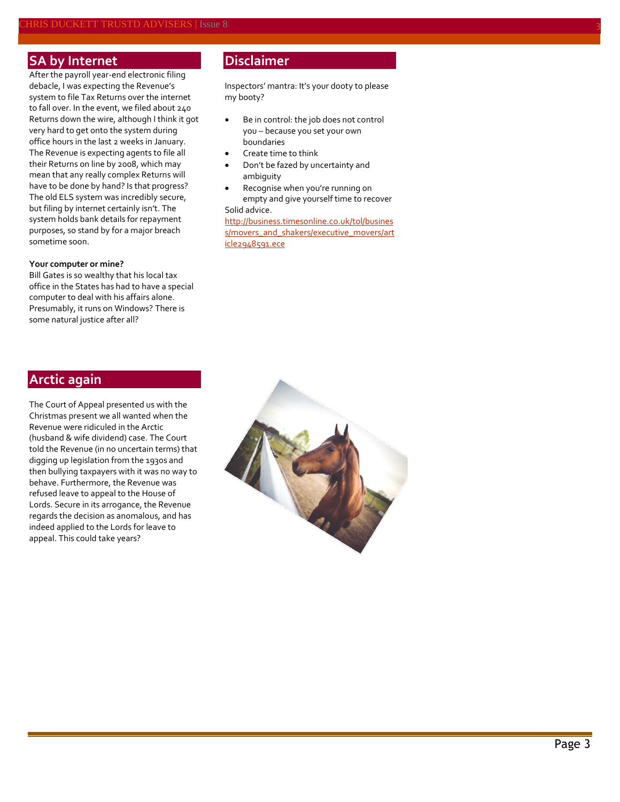#### **SA by Internet**

After the payroll year-end electronic filing debacle, I was expecting the Revenue's system to file Tax Returns over the internet to fall over. In the event, we filed about 240 Returns down the wire, although I think it got very hard to get onto the system during office hours in the last 2 weeks in January. The Revenue is expecting agents to file all their Returns on line by 2008, which may mean that any really complex Returns will have to be done by hand? Is that progress? The old ELS system was incredibly secure, but filing by internet certainly isn't. The system holds bank details for repayment purposes, so stand by for a major breach sometime soon.

#### **Your computer or mine?**

Bill Gates is so wealthy that his local tax office in the States has had to have a special computer to deal with his affairs alone. Presumably, it runs on Windows? There is some natural justice after all?

## **Disclaimer**

Inspectors' mantra: It's your dooty to please my booty?

- Be in control: the job does not control you – because you set your own boundaries
- Create time to think
- Don't be fazed by uncertainty and ambiguity
- Recognise when you're running on empty and give yourself time to recover Solid advice.

[http://business.timesonline.co.uk/tol/busines](http://business.timesonline.co.uk/tol/business/movers_and_shakers/executive_movers/article2948591.ece) [s/movers\\_and\\_shakers/executive\\_movers/art](http://business.timesonline.co.uk/tol/business/movers_and_shakers/executive_movers/article2948591.ece) [icle2948591.ece](http://business.timesonline.co.uk/tol/business/movers_and_shakers/executive_movers/article2948591.ece)

## **Arctic again**

The Court of Appeal presented us with the Christmas present we all wanted when the Revenue were ridiculed in the Arctic (husband & wife dividend) case. The Court told the Revenue (in no uncertain terms) that digging up legislation from the 1930s and then bullying taxpayers with it was no way to behave. Furthermore, the Revenue was refused leave to appeal to the House of Lords. Secure in its arrogance, the Revenue regards the decision as anomalous, and has indeed applied to the Lords for leave to appeal. This could take years?